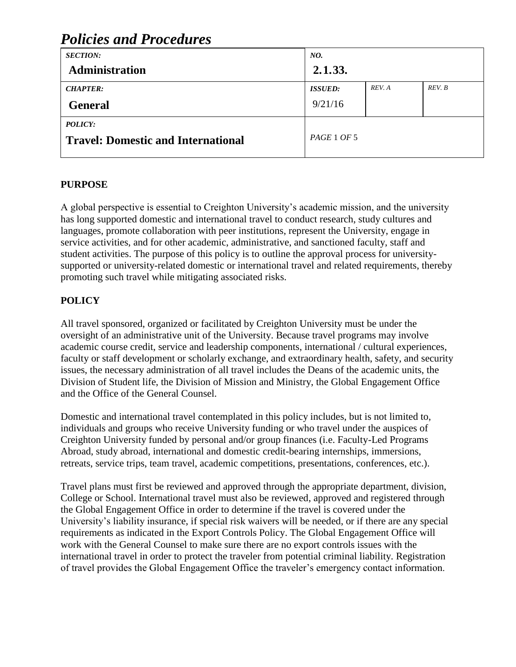#### *SECTION:* **Administration** *NO.* **2.1.33.** *CHAPTER:* **General** *ISSUED:* 9/21/16 *REV. A REV. B POLICY:* **Travel: Domestic and International** *PAGE* <sup>1</sup> *OF* <sup>5</sup>

# *Policies and Procedures*

### **PURPOSE**

A global perspective is essential to Creighton University's academic mission, and the university has long supported domestic and international travel to conduct research, study cultures and languages, promote collaboration with peer institutions, represent the University, engage in service activities, and for other academic, administrative, and sanctioned faculty, staff and student activities. The purpose of this policy is to outline the approval process for universitysupported or university-related domestic or international travel and related requirements, thereby promoting such travel while mitigating associated risks.

### **POLICY**

All travel sponsored, organized or facilitated by Creighton University must be under the oversight of an administrative unit of the University. Because travel programs may involve academic course credit, service and leadership components, international / cultural experiences, faculty or staff development or scholarly exchange, and extraordinary health, safety, and security issues, the necessary administration of all travel includes the Deans of the academic units, the Division of Student life, the Division of Mission and Ministry, the Global Engagement Office and the Office of the General Counsel.

Domestic and international travel contemplated in this policy includes, but is not limited to, individuals and groups who receive University funding or who travel under the auspices of Creighton University funded by personal and/or group finances (i.e. Faculty-Led Programs Abroad, study abroad, international and domestic credit-bearing internships, immersions, retreats, service trips, team travel, academic competitions, presentations, conferences, etc.).

Travel plans must first be reviewed and approved through the appropriate department, division, College or School. International travel must also be reviewed, approved and registered through the Global Engagement Office in order to determine if the travel is covered under the University's liability insurance, if special risk waivers will be needed, or if there are any special requirements as indicated in the Export Controls Policy. The Global Engagement Office will work with the General Counsel to make sure there are no export controls issues with the international travel in order to protect the traveler from potential criminal liability. Registration of travel provides the Global Engagement Office the traveler's emergency contact information.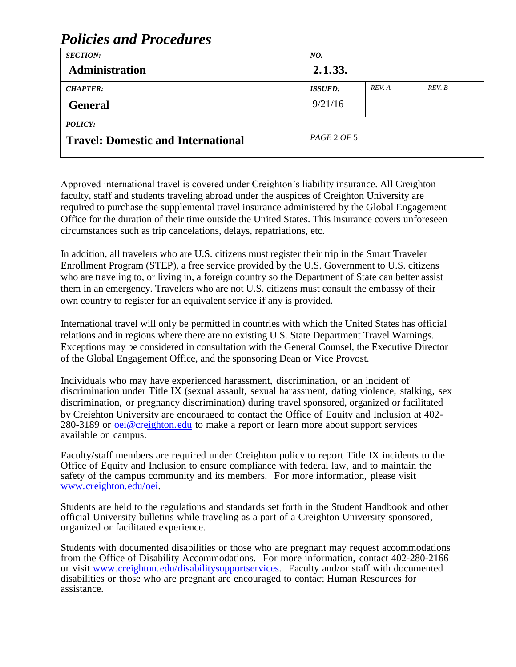# *Policies and Procedures*

| <b>SECTION:</b>                           | NO.            |        |        |
|-------------------------------------------|----------------|--------|--------|
| <b>Administration</b>                     | 2.1.33.        |        |        |
| <b>CHAPTER:</b>                           | <b>ISSUED:</b> | REV. A | REV. B |
| <b>General</b>                            | 9/21/16        |        |        |
| <b>POLICY:</b>                            |                |        |        |
| <b>Travel: Domestic and International</b> | PAGE 2 OF 5    |        |        |

Approved international travel is covered under Creighton's liability insurance. All Creighton faculty, staff and students traveling abroad under the auspices of Creighton University are required to purchase the supplemental travel insurance administered by the Global Engagement Office for the duration of their time outside the United States. This insurance covers unforeseen circumstances such as trip cancelations, delays, repatriations, etc.

In addition, all travelers who are U.S. citizens must register their trip in the Smart Traveler Enrollment Program (STEP), a free service provided by the U.S. Government to U.S. citizens who are traveling to, or living in, a foreign country so the Department of State can better assist them in an emergency. Travelers who are not U.S. citizens must consult the embassy of their own country to register for an equivalent service if any is provided.

International travel will only be permitted in countries with which the United States has official relations and in regions where there are no existing U.S. State Department Travel Warnings. Exceptions may be considered in consultation with the General Counsel, the Executive Director of the Global Engagement Office, and the sponsoring Dean or Vice Provost.

Individuals who may have experienced harassment, discrimination, or an incident of discrimination under Title IX (sexual assault, sexual harassment, dating violence, stalking, sex discrimination, or pregnancy discrimination) during travel sponsored, organized or facilitated by Creighton University are encouraged to contact the Office of Equity and Inclusion at 402- 280-3189 or [oei@creighton.edu](mailto:oei@creighton.edu) to make a report or learn more about support services available on campus.

Faculty/staff members are required under Creighton policy to report Title IX incidents to the Office of Equity and Inclusion to ensure compliance with federal law, and to maintain the safety of the campus community and its members. For more information, please visit [www.creighton.edu/oei.](http://www.creighton.edu/oei)

Students are held to the regulations and standards set forth in the Student Handbook and other official University bulletins while traveling as a part of a Creighton University sponsored, organized or facilitated experience.

Students with documented disabilities or those who are pregnant may request accommodations from the Office of Disability Accommodations. For more information, contact 402-280-2166 or visit [www.creighton.edu/disabilitysupportservices.](http://www.creighton.edu/disabilitysupportservices) Faculty and/or staff with documented disabilities or those who are pregnant are encouraged to contact Human Resources for assistance.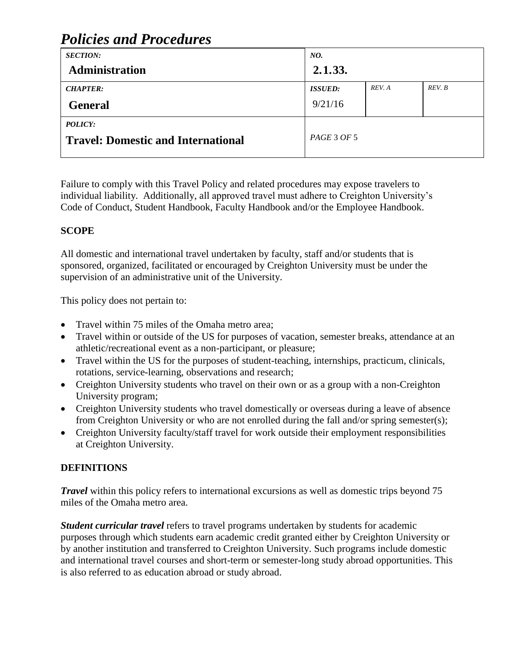# *Policies and Procedures*

| <b>SECTION:</b>                           | NO.            |        |        |
|-------------------------------------------|----------------|--------|--------|
| <b>Administration</b>                     | 2.1.33.        |        |        |
| <b>CHAPTER:</b>                           | <b>ISSUED:</b> | REV. A | REV. B |
| <b>General</b>                            | 9/21/16        |        |        |
| <b>POLICY:</b>                            |                |        |        |
| <b>Travel: Domestic and International</b> | PAGE 3 OF 5    |        |        |

Failure to comply with this Travel Policy and related procedures may expose travelers to individual liability. Additionally, all approved travel must adhere to Creighton University's Code of Conduct, Student Handbook, Faculty Handbook and/or the Employee Handbook.

### **SCOPE**

All domestic and international travel undertaken by faculty, staff and/or students that is sponsored, organized, facilitated or encouraged by Creighton University must be under the supervision of an administrative unit of the University.

This policy does not pertain to:

- Travel within 75 miles of the Omaha metro area:
- Travel within or outside of the US for purposes of vacation, semester breaks, attendance at an athletic/recreational event as a non-participant, or pleasure;
- Travel within the US for the purposes of student-teaching, internships, practicum, clinicals, rotations, service-learning, observations and research;
- Creighton University students who travel on their own or as a group with a non-Creighton University program;
- Creighton University students who travel domestically or overseas during a leave of absence from Creighton University or who are not enrolled during the fall and/or spring semester(s);
- Creighton University faculty/staff travel for work outside their employment responsibilities at Creighton University.

## **DEFINITIONS**

*Travel* within this policy refers to international excursions as well as domestic trips beyond 75 miles of the Omaha metro area.

*Student curricular travel* refers to travel programs undertaken by students for academic purposes through which students earn academic credit granted either by Creighton University or by another institution and transferred to Creighton University. Such programs include domestic and international travel courses and short-term or semester-long study abroad opportunities. This is also referred to as education abroad or study abroad.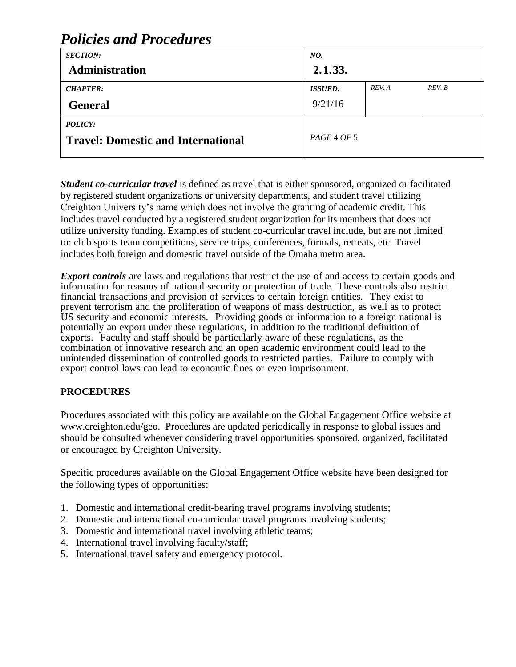#### *SECTION:* **Administration** *NO.* **2.1.33.** *CHAPTER:* **General** *ISSUED:* 9/21/16 *REV. A REV. B POLICY:* **Travel: Domestic and International** *PAGE* <sup>4</sup> *OF* <sup>5</sup>

# *Policies and Procedures*

*Student co-curricular travel* is defined as travel that is either sponsored, organized or facilitated by registered student organizations or university departments, and student travel utilizing Creighton University's name which does not involve the granting of academic credit. This includes travel conducted by a registered student organization for its members that does not utilize university funding. Examples of student co-curricular travel include, but are not limited to: club sports team competitions, service trips, conferences, formals, retreats, etc. Travel includes both foreign and domestic travel outside of the Omaha metro area.

*Export controls* are laws and regulations that restrict the use of and access to certain goods and information for reasons of national security or protection of trade. These controls also restrict financial transactions and provision of services to certain foreign entities. They exist to prevent terrorism and the proliferation of weapons of mass destruction, as well as to protect US security and economic interests. Providing goods or information to a foreign national is potentially an export under these regulations, in addition to the traditional definition of exports. Faculty and staff should be particularly aware of these regulations, as the combination of innovative research and an open academic environment could lead to the unintended dissemination of controlled goods to restricted parties. Failure to comply with export control laws can lead to economic fines or even imprisonment.

### **PROCEDURES**

Procedures associated with this policy are available on the Global Engagement Office website at www.creighton.edu/geo. Procedures are updated periodically in response to global issues and should be consulted whenever considering travel opportunities sponsored, organized, facilitated or encouraged by Creighton University.

Specific procedures available on the Global Engagement Office website have been designed for the following types of opportunities:

- 1. Domestic and international credit-bearing travel programs involving students;
- 2. Domestic and international co-curricular travel programs involving students;
- 3. Domestic and international travel involving athletic teams;
- 4. International travel involving faculty/staff;
- 5. International travel safety and emergency protocol.